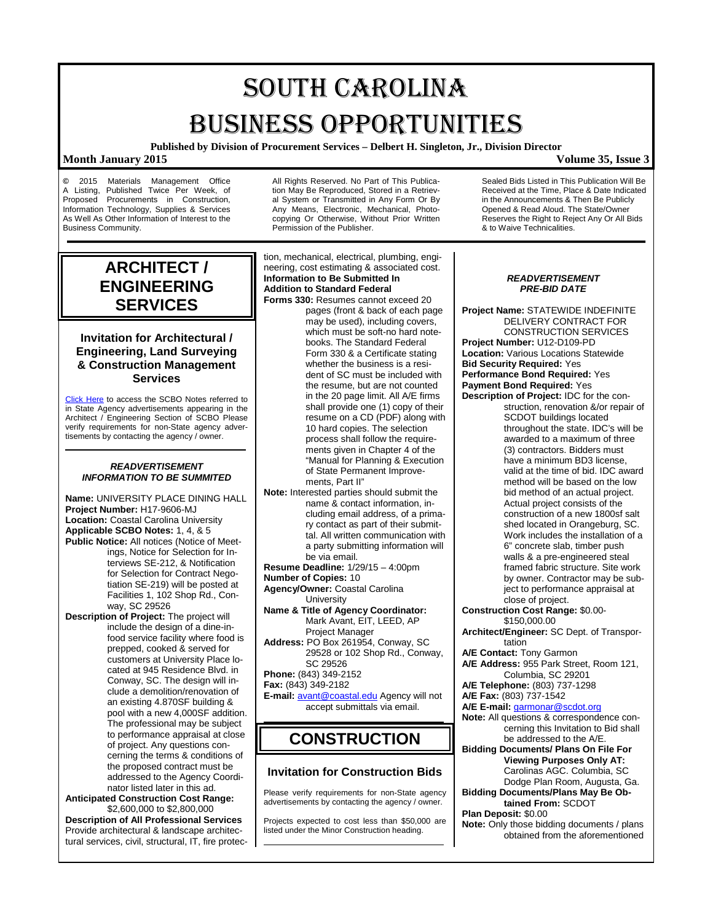# SOUTH CAROLINA BUSINESS OPPORTUNITIES

**Published by Division of Procurement Services – Delbert H. Singleton, Jr., Division Director**

### **Month January 2015 Volume 35, Issue 3**

**©** 2015 Materials Management Office A Listing, Published Twice Per Week, of Proposed Procurements in Construction. Procurements in Construction, Information Technology, Supplies & Services As Well As Other Information of Interest to the Business Community.

All Rights Reserved. No Part of This Publication May Be Reproduced, Stored in a Retrieval System or Transmitted in Any Form Or By Any Means, Electronic, Mechanical, Photocopying Or Otherwise, Without Prior Written Permission of the Publisher.

**ARCHITECT / ENGINEERING SERVICES**

### **Invitation for Architectural / Engineering, Land Surveying & Construction Management Services**

[Click Here](http://www.mmo.sc.gov/PS/general/scbo/SCBO_Notes_060512.pdf) to access the SCBO Notes referred to in State Agency advertisements appearing in the Architect / Engineering Section of SCBO Please verify requirements for non-State agency advertisements by contacting the agency / owner.

### *READVERTISEMENT INFORMATION TO BE SUMMITED*

**Name:** UNIVERSITY PLACE DINING HALL **Project Number:** H17-9606-MJ **Location:** Coastal Carolina University **Applicable SCBO Notes:** 1, 4, & 5 **Public Notice:** All notices (Notice of Meetings, Notice for Selection for Interviews SE-212, & Notification for Selection for Contract Negotiation SE-219) will be posted at Facilities 1, 102 Shop Rd., Conway, SC 29526 **Description of Project:** The project will

include the design of a dine-infood service facility where food is prepped, cooked & served for customers at University Place located at 945 Residence Blvd. in Conway, SC. The design will include a demolition/renovation of an existing 4.870SF building & pool with a new 4,000SF addition. The professional may be subject to performance appraisal at close of project. Any questions concerning the terms & conditions of the proposed contract must be addressed to the Agency Coordinator listed later in this ad.

**Anticipated Construction Cost Range:** \$2,600,000 to \$2,800,000 **Description of All Professional Services**

Provide architectural & landscape architectural services, civil, structural, IT, fire protection, mechanical, electrical, plumbing, engineering, cost estimating & associated cost. **Information to Be Submitted In Addition to Standard Federal** 

**Forms 330:** Resumes cannot exceed 20 pages (front & back of each page may be used), including covers, which must be soft-no hard notebooks. The Standard Federal Form 330 & a Certificate stating whether the business is a resident of SC must be included with the resume, but are not counted in the 20 page limit. All A/E firms shall provide one (1) copy of their resume on a CD (PDF) along with 10 hard copies. The selection process shall follow the requirements given in Chapter 4 of the "Manual for Planning & Execution of State Permanent Improvements, Part II"

- **Note:** Interested parties should submit the name & contact information, including email address, of a primary contact as part of their submittal. All written communication with a party submitting information will be via email.
- **Resume Deadline:** 1/29/15 4:00pm
- **Number of Copies:** 10
- **Agency/Owner:** Coastal Carolina **University**
- **Name & Title of Agency Coordinator:** Mark Avant, EIT, LEED, AP Project Manager **Address:** PO Box 261954, Conway, SC 29528 or 102 Shop Rd., Conway,

SC 29526 **Phone:** (843) 349-2152

**Fax:** (843) 349-2182

**E-mail:** [avant@coastal.edu](mailto:avant@coastal.edu) Agency will not accept submittals via email.

## **CONSTRUCTION**

### **Invitation for Construction Bids**

Please verify requirements for non-State agency advertisements by contacting the agency / owner.

Projects expected to cost less than \$50,000 are listed under the Minor Construction heading.

Sealed Bids Listed in This Publication Will Be Received at the Time, Place & Date Indicated in the Announcements & Then Be Publicly Opened & Read Aloud. The State/Owner Reserves the Right to Reject Any Or All Bids & to Waive Technicalities.

### *READVERTISEMENT PRE-BID DATE*

**Project Name:** STATEWIDE INDEFINITE DELIVERY CONTRACT FOR CONSTRUCTION SERVICES **Project Number:** U12-D109-PD **Location:** Various Locations Statewide **Bid Security Required:** Yes **Performance Bond Required:** Yes **Payment Bond Required:** Yes **Description of Project:** IDC for the construction, renovation &/or repair of SCDOT buildings located throughout the state. IDC's will be awarded to a maximum of three (3) contractors. Bidders must have a minimum BD3 license, valid at the time of bid. IDC award method will be based on the low bid method of an actual project. Actual project consists of the construction of a new 1800sf salt shed located in Orangeburg, SC. Work includes the installation of a 6" concrete slab, timber push walls & a pre-engineered steal framed fabric structure. Site work by owner. Contractor may be sub-

ject to performance appraisal at close of project. **Construction Cost Range:** \$0.00-

\$150,000.00 **Architect/Engineer:** SC Dept. of Transportation

**A/E Contact:** Tony Garmon

- **A/E Address:** 955 Park Street, Room 121, Columbia, SC 29201
- **A/E Telephone:** (803) 737-1298

**A/E Fax:** (803) 737-1542

- **A/E E-mail:** [garmonar@scdot.org](mailto:garmonar@scdot.org)
- **Note:** All questions & correspondence concerning this Invitation to Bid shall be addressed to the A/E.
- **Bidding Documents/ Plans On File For Viewing Purposes Only AT:** Carolinas AGC. Columbia, SC Dodge Plan Room, Augusta, Ga.
- **Bidding Documents/Plans May Be Obtained From:** SCDOT
- **Plan Deposit:** \$0.00
- **Note:** Only those bidding documents / plans obtained from the aforementioned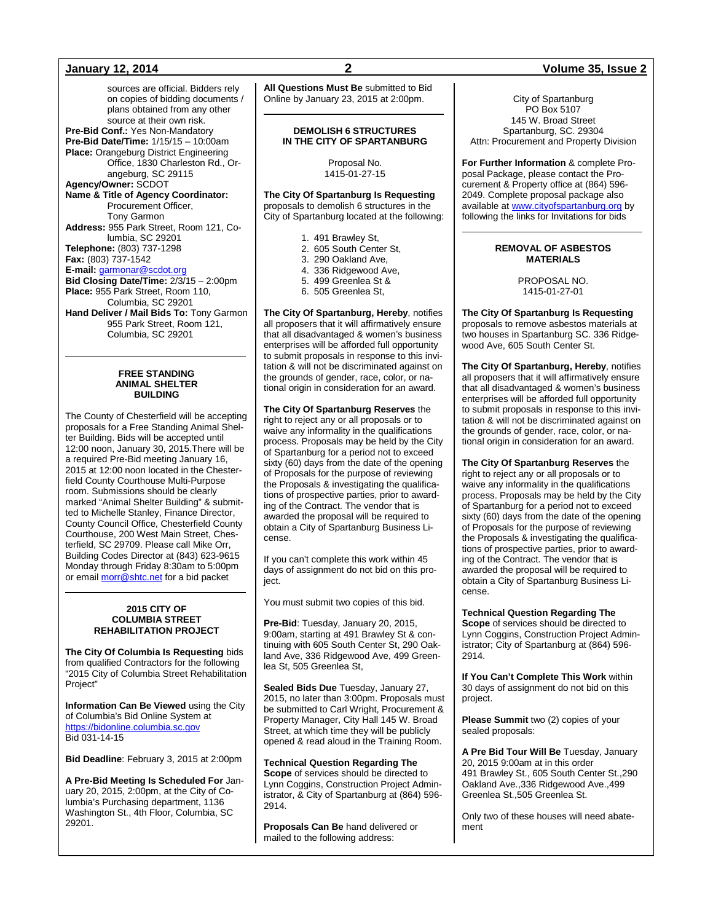sources are official. Bidders rely on copies of bidding documents / plans obtained from any other source at their own risk. **Pre-Bid Conf.:** Yes Non-Mandatory **Pre-Bid Date/Time:** 1/15/15 – 10:00am **Place:** Orangeburg District Engineering Office, 1830 Charleston Rd., Orangeburg, SC 29115 **Agency/Owner:** SCDOT **Name & Title of Agency Coordinator:** Procurement Officer, Tony Garmon **Address:** 955 Park Street, Room 121, Columbia, SC 29201 **Telephone:** (803) 737-1298 **Fax:** (803) 737-1542 **E-mail:** [garmonar@scdot.org](mailto:garmonar@scdot.org) **Bid Closing Date/Time:** 2/3/15 – 2:00pm **Place:** 955 Park Street, Room 110, Columbia, SC 29201 **Hand Deliver / Mail Bids To:** Tony Garmon 955 Park Street, Room 121, Columbia, SC 29201

### **FREE STANDING ANIMAL SHELTER BUILDING**

The County of Chesterfield will be accepting proposals for a Free Standing Animal Shelter Building. Bids will be accepted until 12:00 noon, January 30, 2015.There will be a required Pre-Bid meeting January 16, 2015 at 12:00 noon located in the Chesterfield County Courthouse Multi-Purpose room. Submissions should be clearly marked "Animal Shelter Building" & submitted to Michelle Stanley, Finance Director, County Council Office, Chesterfield County Courthouse, 200 West Main Street, Chesterfield, SC 29709. Please call Mike Orr, Building Codes Director at (843) 623-9615 Monday through Friday 8:30am to 5:00pm or email **morr@shtc.net** for a bid packet

### **2015 CITY OF COLUMBIA STREET REHABILITATION PROJECT**

**The City Of Columbia Is Requesting** bids from qualified Contractors for the following "2015 City of Columbia Street Rehabilitation Project"

**Information Can Be Viewed** using the City of Columbia's Bid Online System at [https://bidonline.columbia.sc.gov](https://bidonline.columbia.sc.gov/) Bid 031-14-15

**Bid Deadline**: February 3, 2015 at 2:00pm

**A Pre-Bid Meeting Is Scheduled For** January 20, 2015, 2:00pm, at the City of Columbia's Purchasing department, 1136 Washington St., 4th Floor, Columbia, SC 29201.

**All Questions Must Be** submitted to Bid Online by January 23, 2015 at 2:00pm.

### **DEMOLISH 6 STRUCTURES IN THE CITY OF SPARTANBURG**

Proposal No. 1415-01-27-15

### **The City Of Spartanburg Is Requesting** proposals to demolish 6 structures in the City of Spartanburg located at the following:

- 1. 491 Brawley St,
- 2. 605 South Center St,
- 3. 290 Oakland Ave,
- 4. 336 Ridgewood Ave,
- 5. 499 Greenlea St &
- 6. 505 Greenlea St,

**The City Of Spartanburg, Hereby**, notifies all proposers that it will affirmatively ensure that all disadvantaged & women's business enterprises will be afforded full opportunity to submit proposals in response to this invitation & will not be discriminated against on the grounds of gender, race, color, or national origin in consideration for an award.

**The City Of Spartanburg Reserves** the right to reject any or all proposals or to waive any informality in the qualifications process. Proposals may be held by the City of Spartanburg for a period not to exceed sixty (60) days from the date of the opening of Proposals for the purpose of reviewing the Proposals & investigating the qualifications of prospective parties, prior to awarding of the Contract. The vendor that is awarded the proposal will be required to obtain a City of Spartanburg Business License.

If you can't complete this work within 45 days of assignment do not bid on this project.

You must submit two copies of this bid.

**Pre-Bid**: Tuesday, January 20, 2015, 9:00am, starting at 491 Brawley St & continuing with 605 South Center St, 290 Oakland Ave, 336 Ridgewood Ave, 499 Greenlea St, 505 Greenlea St,

**Sealed Bids Due** Tuesday, January 27, 2015, no later than 3:00pm. Proposals must be submitted to Carl Wright, Procurement & Property Manager, City Hall 145 W. Broad Street, at which time they will be publicly opened & read aloud in the Training Room.

**Technical Question Regarding The Scope** of services should be directed to Lynn Coggins, Construction Project Administrator, & City of Spartanburg at (864) 596- 2914.

**Proposals Can Be** hand delivered or mailed to the following address:

### **January 12, 2014 2 Volume 35, Issue 2**

City of Spartanburg PO Box 5107 145 W. Broad Street Spartanburg, SC. 29304 Attn: Procurement and Property Division

**For Further Information** & complete Proposal Package, please contact the Procurement & Property office at (864) 596- 2049. Complete proposal package also available a[t www.cityofspartanburg.org](http://www.cityofspartanburg.org/) by following the links for Invitations for bids

### **REMOVAL OF ASBESTOS MATERIALS**

PROPOSAL NO. 1415-01-27-01

**The City Of Spartanburg Is Requesting** proposals to remove asbestos materials at two houses in Spartanburg SC. 336 Ridgewood Ave, 605 South Center St.

**The City Of Spartanburg, Hereby**, notifies all proposers that it will affirmatively ensure that all disadvantaged & women's business enterprises will be afforded full opportunity to submit proposals in response to this invitation & will not be discriminated against on the grounds of gender, race, color, or national origin in consideration for an award.

**The City Of Spartanburg Reserves** the right to reject any or all proposals or to waive any informality in the qualifications process. Proposals may be held by the City of Spartanburg for a period not to exceed sixty (60) days from the date of the opening of Proposals for the purpose of reviewing the Proposals & investigating the qualifications of prospective parties, prior to awarding of the Contract. The vendor that is awarded the proposal will be required to obtain a City of Spartanburg Business License.

**Technical Question Regarding The Scope** of services should be directed to Lynn Coggins, Construction Project Administrator; City of Spartanburg at (864) 596- 2914.

**If You Can't Complete This Work** within 30 days of assignment do not bid on this project.

**Please Summit** two (2) copies of your sealed proposals:

**A Pre Bid Tour Will Be** Tuesday, January 20, 2015 9:00am at in this order 491 Brawley St., 605 South Center St.,290 Oakland Ave.,336 Ridgewood Ave.,499 Greenlea St.,505 Greenlea St.

Only two of these houses will need abatement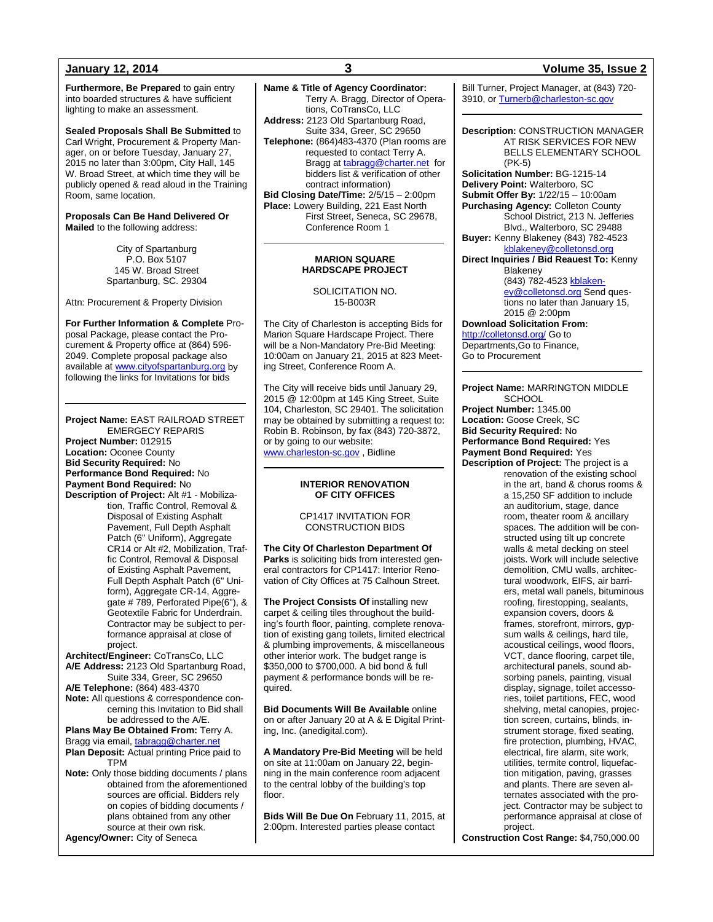**Furthermore, Be Prepared** to gain entry into boarded structures & have sufficient lighting to make an assessment.

**Sealed Proposals Shall Be Submitted** to Carl Wright, Procurement & Property Manager, on or before Tuesday, January 27, 2015 no later than 3:00pm, City Hall, 145 W. Broad Street, at which time they will be publicly opened & read aloud in the Training Room, same location.

### **Proposals Can Be Hand Delivered Or Mailed** to the following address:

City of Spartanburg P.O. Box 5107 145 W. Broad Street Spartanburg, SC. 29304

Attn: Procurement & Property Division

**For Further Information & Complete** Proposal Package, please contact the Procurement & Property office at (864) 596- 2049. Complete proposal package also available at [www.cityofspartanburg.org](http://www.cityofspartanburg.org/) by following the links for Invitations for bids

**Project Name:** EAST RAILROAD STREET EMERGECY REPARIS **Project Number:** 012915 **Location:** Oconee County **Bid Security Required:** No **Performance Bond Required:** No

**Payment Bond Required:** No **Description of Project:** Alt #1 - Mobilization, Traffic Control, Removal & Disposal of Existing Asphalt Pavement, Full Depth Asphalt Patch (6" Uniform), Aggregate CR14 or Alt #2, Mobilization, Traffic Control, Removal & Disposal of Existing Asphalt Pavement, Full Depth Asphalt Patch (6" Uniform), Aggregate CR-14, Aggregate # 789, Perforated Pipe(6"), & Geotextile Fabric for Underdrain. Contractor may be subject to performance appraisal at close of

project. **Architect/Engineer:** CoTransCo, LLC **A/E Address:** 2123 Old Spartanburg Road,

Suite 334, Greer, SC 29650 **A/E Telephone:** (864) 483-4370 **Note:** All questions & correspondence concerning this Invitation to Bid shall be addressed to the A/E.

### **Plans May Be Obtained From:** Terry A.

Bragg via email[, tabragg@charter.net](mailto:tabragg@charter.net) **Plan Deposit:** Actual printing Price paid to TPM

**Note:** Only those bidding documents / plans obtained from the aforementioned sources are official. Bidders rely on copies of bidding documents / plans obtained from any other source at their own risk.

**Agency/Owner:** City of Seneca

**Name & Title of Agency Coordinator:** Terry A. Bragg, Director of Operations, CoTransCo, LLC **Address:** 2123 Old Spartanburg Road, Suite 334, Greer, SC 29650 **Telephone:** (864)483-4370 (Plan rooms are requested to contact Terry A. Bragg at [tabragg@charter.net](mailto:tabragg@charter.net) for bidders list & verification of other contract information) **Bid Closing Date/Time:** 2/5/15 – 2:00pm **Place:** Lowery Building, 221 East North First Street, Seneca, SC 29678, Conference Room 1

### **MARION SQUARE HARDSCAPE PROJECT**

### SOLICITATION NO. 15-B003R

The City of Charleston is accepting Bids for Marion Square Hardscape Project. There will be a Non-Mandatory Pre-Bid Meeting: 10:00am on January 21, 2015 at 823 Meeting Street, Conference Room A.

The City will receive bids until January 29, 2015 @ 12:00pm at 145 King Street, Suite 104, Charleston, SC 29401. The solicitation may be obtained by submitting a request to: Robin B. Robinson, by fax (843) 720-3872, or by going to our website: [www.charleston-sc.gov](http://www.charleston-sc.gov/) , Bidline

### **INTERIOR RENOVATION OF CITY OFFICES**

### CP1417 INVITATION FOR CONSTRUCTION BIDS

**The City Of Charleston Department Of Parks** is soliciting bids from interested general contractors for CP1417: Interior Renovation of City Offices at 75 Calhoun Street.

**The Project Consists Of** installing new carpet & ceiling tiles throughout the building's fourth floor, painting, complete renovation of existing gang toilets, limited electrical & plumbing improvements, & miscellaneous other interior work. The budget range is \$350,000 to \$700,000. A bid bond & full payment & performance bonds will be required.

**Bid Documents Will Be Available** online on or after January 20 at A & E Digital Printing, Inc. (anedigital.com).

**A Mandatory Pre-Bid Meeting** will be held on site at 11:00am on January 22, beginning in the main conference room adjacent to the central lobby of the building's top floor.

**Bids Will Be Due On** February 11, 2015, at 2:00pm. Interested parties please contact

### **January 12, 2014 3 Volume 35, Issue 2**

Bill Turner, Project Manager, at (843) 720- 3910, o[r Turnerb@charleston-sc.gov](mailto:Turnerb@charleston-sc.gov)

**Description:** CONSTRUCTION MANAGER AT RISK SERVICES FOR NEW BELLS ELEMENTARY SCHOOL (PK-5) **Solicitation Number:** BG-1215-14 **Delivery Point:** Walterboro, SC

**Submit Offer By:** 1/22/15 – 10:00am

**Purchasing Agency:** Colleton County School District, 213 N. Jefferies Blvd., Walterboro, SC 29488

**Buyer:** Kenny Blakeney (843) 782-4523 [kblakeney@colletonsd.org](mailto:kblakeney@colletonsd.org)

**Direct Inquiries / Bid Reauest To:** Kenny **Blakeney** (843) 782-4523 [kblaken](mailto:kblakeney@colletonsd.org)[ey@colletonsd.org](mailto:kblakeney@colletonsd.org) Send questions no later than January 15,

2015 @ 2:00pm **Download Solicitation From:** <http://colletonsd.org/> Go to

Departments,Go to Finance, Go to Procurement

### **Project Name:** MARRINGTON MIDDLE **SCHOOL**

**Project Number:** 1345.00 **Location:** Goose Creek, SC **Bid Security Required:** No **Performance Bond Required:** Yes **Payment Bond Required:** Yes **Description of Project:** The project is a

renovation of the existing school in the art, band & chorus rooms & a 15,250 SF addition to include an auditorium, stage, dance room, theater room & ancillary spaces. The addition will be constructed using tilt up concrete walls & metal decking on steel joists. Work will include selective demolition, CMU walls, architectural woodwork, EIFS, air barriers, metal wall panels, bituminous roofing, firestopping, sealants, expansion covers, doors & frames, storefront, mirrors, gypsum walls & ceilings, hard tile, acoustical ceilings, wood floors, VCT, dance flooring, carpet tile, architectural panels, sound absorbing panels, painting, visual display, signage, toilet accessories, toilet partitions, FEC, wood shelving, metal canopies, projection screen, curtains, blinds, instrument storage, fixed seating, fire protection, plumbing, HVAC, electrical, fire alarm, site work, utilities, termite control, liquefaction mitigation, paving, grasses and plants. There are seven alternates associated with the project. Contractor may be subject to performance appraisal at close of project.

**Construction Cost Range:** \$4,750,000.00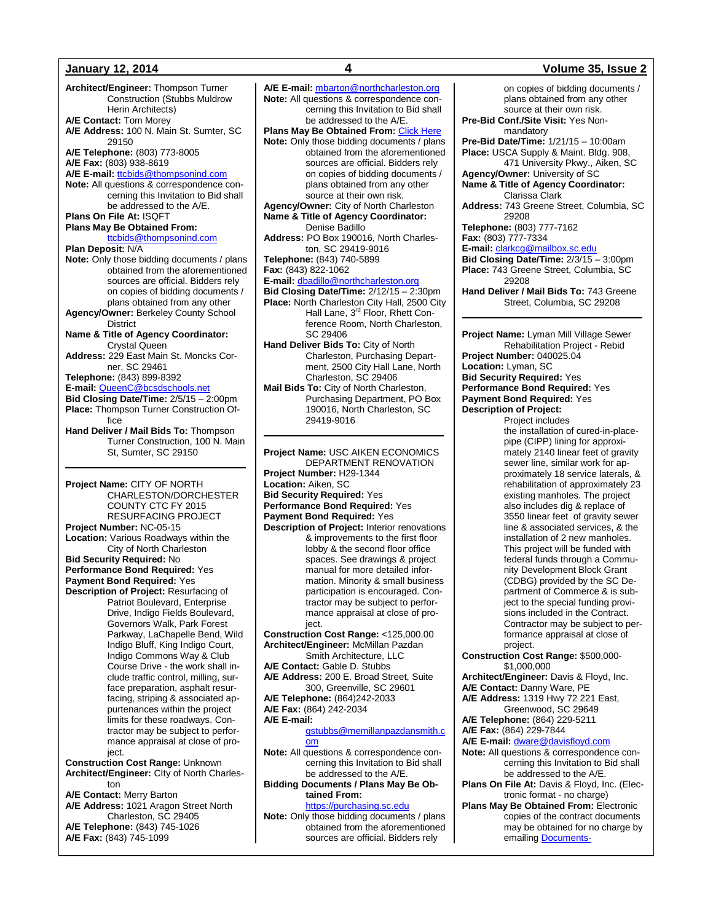**Architect/Engineer:** Thompson Turner Construction (Stubbs Muldrow Herin Architects) **A/E Contact:** Tom Morey **A/E Address:** 100 N. Main St. Sumter, SC 29150 **A/E Telephone:** (803) 773-8005 **A/E Fax:** (803) 938-8619 A/E E-mail: [ttcbids@thompsonind.com](mailto:ttcbids@thompsonind.com) **Note:** All questions & correspondence concerning this Invitation to Bid shall be addressed to the A/E. **Plans On File At:** ISQFT **Plans May Be Obtained From:** [ttcbids@thompsonind.com](mailto:ttcbids@thompsonind.com) **Plan Deposit:** N/A **Note:** Only those bidding documents / plans obtained from the aforementioned sources are official. Bidders rely on copies of bidding documents / plans obtained from any other **Agency/Owner:** Berkeley County School **District Name & Title of Agency Coordinator:** Crystal Queen **Address:** 229 East Main St. Moncks Corner, SC 29461 **Telephone:** (843) 899-8392 **E-mail:** [QueenC@bcsdschools.net](mailto:QueenC@bcsdschools.net) **Bid Closing Date/Time:** 2/5/15 – 2:00pm **Place:** Thompson Turner Construction Office **Hand Deliver / Mail Bids To:** Thompson Turner Construction, 100 N. Main St, Sumter, SC 29150 **Project Name:** CITY OF NORTH CHARLESTON/DORCHESTER COUNTY CTC FY 2015 RESURFACING PROJECT **Project Number:** NC-05-15 **Location:** Various Roadways within the City of North Charleston **Bid Security Required:** No **Performance Bond Required:** Yes **Payment Bond Required:** Yes **Description of Project:** Resurfacing of Patriot Boulevard, Enterprise Drive, Indigo Fields Boulevard, Governors Walk, Park Forest Parkway, LaChapelle Bend, Wild Indigo Bluff, King Indigo Court, Indigo Commons Way & Club Course Drive - the work shall in-

clude traffic control, milling, surface preparation, asphalt resurfacing, striping & associated appurtenances within the project limits for these roadways. Contractor may be subject to performance appraisal at close of project.

**Construction Cost Range:** Unknown **Architect/Engineer:** CIty of North Charleston

**A/E Contact:** Merry Barton

- **A/E Address:** 1021 Aragon Street North Charleston, SC 29405 **A/E Telephone:** (843) 745-1026
- **A/E Fax:** (843) 745-1099

**A/E E-mail:** [mbarton@northcharleston.org](mailto:mbarton@northcharleston.org) **Note:** All questions & correspondence concerning this Invitation to Bid shall be addressed to the A/E. **Plans May Be Obtained From:** [Click Here](http://www.northcharleston.org/Business/Do-Business-with-North-Charleston/Request-for-Qualifications.aspx) **Note:** Only those bidding documents / plans obtained from the aforementioned sources are official. Bidders rely on copies of bidding documents / plans obtained from any other source at their own risk. **Agency/Owner:** City of North Charleston **Name & Title of Agency Coordinator:** Denise Badillo **Address:** PO Box 190016, North Charleston, SC 29419-9016 **Telephone:** (843) 740-5899 **Fax:** (843) 822-1062 **E-mail:** [dbadillo@northcharleston.org](mailto:dbadillo@northcharleston.org) **Bid Closing Date/Time:** 2/12/15 – 2:30pm **Place:** North Charleston City Hall, 2500 City Hall Lane, 3<sup>rd</sup> Floor, Rhett Conference Room, North Charleston, SC 29406 **Hand Deliver Bids To:** City of North Charleston, Purchasing Department, 2500 City Hall Lane, North Charleston, SC 29406 **Mail Bids To:** City of North Charleston, Purchasing Department, PO Box 190016, North Charleston, SC 29419-9016 **Project Name:** USC AIKEN ECONOMICS DEPARTMENT RENOVATION

**Project Number:** H29-1344 **Location:** Aiken, SC **Bid Security Required:** Yes **Performance Bond Required:** Yes **Payment Bond Required:** Yes **Description of Project:** Interior renovations & improvements to the first floor lobby & the second floor office spaces. See drawings & project manual for more detailed information. Minority & small business participation is encouraged. Contractor may be subject to performance appraisal at close of project. **Construction Cost Range:** <125,000.00 **Architect/Engineer:** McMillan Pazdan Smith Architecture, LLC **A/E Contact:** Gable D. Stubbs **A/E Address:** 200 E. Broad Street, Suite 300, Greenville, SC 29601 **A/E Telephone:** (864)242-2033 **A/E Fax:** (864) 242-2034 **A/E E-mail:** [gstubbs@memillanpazdansmith.c](mailto:gstubbs@memillanpazdansmith.com) [om](mailto:gstubbs@memillanpazdansmith.com) **Note:** All questions & correspondence concerning this Invitation to Bid shall be addressed to the A/E. **Bidding Documents / Plans May Be Obtained From:**

[https://purchasing.sc.edu](https://purchasing.sc.edu/) **Note:** Only those bidding documents / plans obtained from the aforementioned sources are official. Bidders rely

### **January 12, 2014 4 Volume 35, Issue 2**

on copies of bidding documents / plans obtained from any other source at their own risk. **Pre-Bid Conf./Site Visit:** Yes Nonmandatory **Pre-Bid Date/Time:** 1/21/15 – 10:00am **Place:** USCA Supply & Maint. Bldg. 908, 471 University Pkwy., Aiken, SC **Agency/Owner:** University of SC

**Name & Title of Agency Coordinator:** Clarissa Clark

**Address:** 743 Greene Street, Columbia, SC 29208

**Telephone:** (803) 777-7162 **Fax:** (803) 777-7334

**E-mail:** [clarkcg@mailbox.sc.edu](mailto:clarkcg@mailbox.sc.edu)

**Bid Closing Date/Time:** 2/3/15 – 3:00pm

**Place:** 743 Greene Street, Columbia, SC 29208

**Hand Deliver / Mail Bids To:** 743 Greene Street, Columbia, SC 29208

**Project Name:** Lyman Mill Village Sewer Rehabilitation Project - Rebid **Project Number:** 040025.04 **Location:** Lyman, SC **Bid Security Required:** Yes **Performance Bond Required:** Yes **Payment Bond Required:** Yes **Description of Project:**

Project includes the installation of cured-in-placepipe (CIPP) lining for approximately 2140 linear feet of gravity sewer line, similar work for approximately 18 service laterals, & rehabilitation of approximately 23 existing manholes. The project also includes dig & replace of 3550 linear feet of gravity sewer line & associated services, & the installation of 2 new manholes. This project will be funded with federal funds through a Community Development Block Grant (CDBG) provided by the SC Department of Commerce & is subject to the special funding provisions included in the Contract. Contractor may be subject to performance appraisal at close of project.

**Construction Cost Range:** \$500,000- \$1,000,000

**Architect/Engineer:** Davis & Floyd, Inc.

**A/E Contact:** Danny Ware, PE **A/E Address:** 1319 Hwy 72 221 East,

Greenwood, SC 29649 **A/E Telephone:** (864) 229-5211

**A/E Fax:** (864) 229-7844

**A/E E-mail:** [dware@davisfloyd.com](mailto:dware@davisfloyd.com)

- **Note:** All questions & correspondence concerning this Invitation to Bid shall be addressed to the A/E.
- **Plans On File At:** Davis & Floyd, Inc. (Electronic format - no charge)
- **Plans May Be Obtained From: Electronic** copies of the contract documents may be obtained for no charge by emailing [Documents-](mailto:Documents-GWD@davisfloyd.com)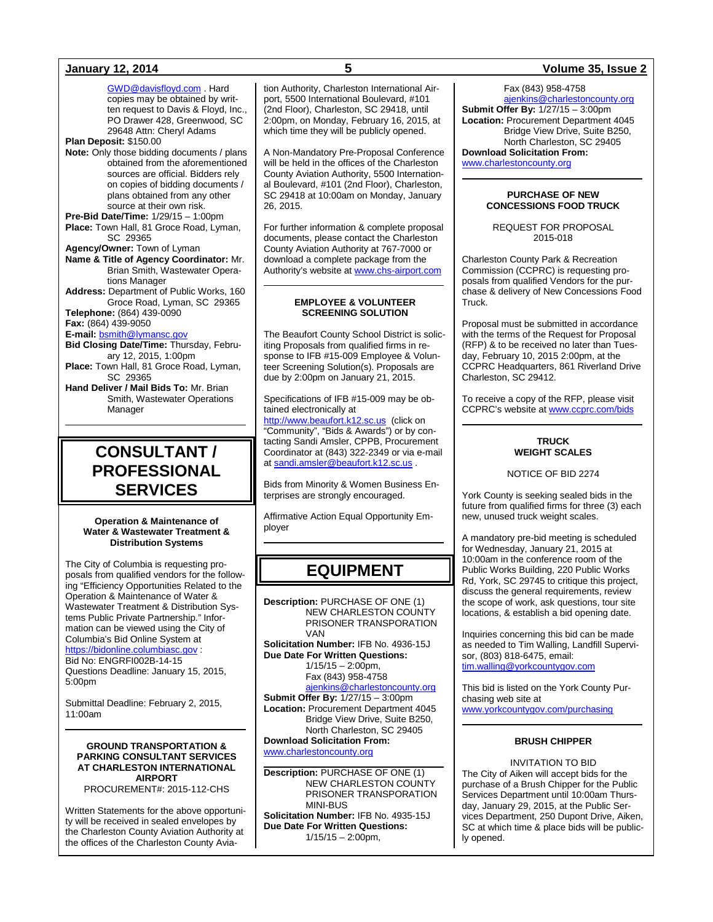[GWD@davisfloyd.com](mailto:Documents-GWD@davisfloyd.com) . Hard copies may be obtained by written request to Davis & Floyd, Inc., PO Drawer 428, Greenwood, SC 29648 Attn: Cheryl Adams **Plan Deposit:** \$150.00

**Note:** Only those bidding documents / plans obtained from the aforementioned sources are official. Bidders rely on copies of bidding documents /

plans obtained from any other source at their own risk. **Pre-Bid Date/Time:** 1/29/15 – 1:00pm **Place:** Town Hall, 81 Groce Road, Lyman,

SC 29365 **Agency/Owner:** Town of Lyman

- **Name & Title of Agency Coordinator:** Mr. Brian Smith, Wastewater Operations Manager
- **Address:** Department of Public Works, 160 Groce Road, Lyman, SC 29365 **Telephone:** (864) 439-0090

**Fax:** (864) 439-9050

**E-mail:** [bsmith@lymansc.gov](mailto:bsmith@lymansc.gov)

**Bid Closing Date/Time:** Thursday, February 12, 2015, 1:00pm **Place:** Town Hall, 81 Groce Road, Lyman,

SC 29365 **Hand Deliver / Mail Bids To:** Mr. Brian

Smith, Wastewater Operations Manager

## **CONSULTANT / PROFESSIONAL SERVICES**

### **Operation & Maintenance of Water & Wastewater Treatment & Distribution Systems**

The City of Columbia is requesting proposals from qualified vendors for the following "Efficiency Opportunities Related to the Operation & Maintenance of Water & Wastewater Treatment & Distribution Systems Public Private Partnership." Information can be viewed using the City of Columbia's Bid Online System at [https://bidonline.columbiasc.gov](https://bidonline.columbiasc.gov/) :

Bid No: ENGRFI002B-14-15 Questions Deadline: January 15, 2015,

5:00pm

Submittal Deadline: February 2, 2015, 11:00am

### **GROUND TRANSPORTATION & PARKING CONSULTANT SERVICES AT CHARLESTON INTERNATIONAL AIRPORT**

PROCUREMENT#: 2015-112-CHS

Written Statements for the above opportunity will be received in sealed envelopes by the Charleston County Aviation Authority at the offices of the Charleston County Aviation Authority, Charleston International Airport, 5500 International Boulevard, #101 (2nd Floor), Charleston, SC 29418, until 2:00pm, on Monday, February 16, 2015, at which time they will be publicly opened.

A Non-Mandatory Pre-Proposal Conference will be held in the offices of the Charleston County Aviation Authority, 5500 International Boulevard, #101 (2nd Floor), Charleston, SC 29418 at 10:00am on Monday, January 26, 2015.

For further information & complete proposal documents, please contact the Charleston County Aviation Authority at 767-7000 or download a complete package from the Authority's website at [www.chs-airport.com](http://www.chs-airport.com/)

### **EMPLOYEE & VOLUNTEER SCREENING SOLUTION**

The Beaufort County School District is soliciting Proposals from qualified firms in response to IFB #15-009 Employee & Volunteer Screening Solution(s). Proposals are due by 2:00pm on January 21, 2015.

Specifications of IFB #15-009 may be obtained electronically at

[http://www.beaufort.k12.sc.us](http://www.beaufort.k12.sc.us/) (click on "Community", "Bids & Awards") or by contacting Sandi Amsler, CPPB, Procurement Coordinator at (843) 322-2349 or via e-mail a[t sandi.amsler@beaufort.k12.sc.us](mailto:sandi.amsler@beaufort.k12.sc.us) .

Bids from Minority & Women Business Enterprises are strongly encouraged.

Affirmative Action Equal Opportunity Employer

## **EQUIPMENT**

**Description:** PURCHASE OF ONE (1) NEW CHARLESTON COUNTY PRISONER TRANSPORATION VAN

**Solicitation Number:** IFB No. 4936-15J **Due Date For Written Questions:**

1/15/15 – 2:00pm, Fax (843) 958-4758

[ajenkins@charlestoncounty.org](mailto:ajenkins@charlestoncounty.org) **Submit Offer By:** 1/27/15 – 3:00pm **Location:** Procurement Department 4045 Bridge View Drive, Suite B250,

North Charleston, SC 29405 **Download Solicitation From:** [www.charlestoncounty.org](http://www.charlestoncounty.org/)

**Description:** PURCHASE OF ONE (1) NEW CHARLESTON COUNTY PRISONER TRANSPORATION MINI-BUS **Solicitation Number:** IFB No. 4935-15J

**Due Date For Written Questions:**  $1/15/15 - 2:00$ pm,

### **January 12, 2014 5 Volume 35, Issue 2**

Fax (843) 958-4758 [ajenkins@charlestoncounty.org](mailto:ajenkins@charlestoncounty.org) **Submit Offer By:** 1/27/15 – 3:00pm **Location:** Procurement Department 4045 Bridge View Drive, Suite B250, North Charleston, SC 29405 **Download Solicitation From:** [www.charlestoncounty.org](http://www.charlestoncounty.org/)

### **PURCHASE OF NEW CONCESSIONS FOOD TRUCK**

REQUEST FOR PROPOSAL 2015-018

Charleston County Park & Recreation Commission (CCPRC) is requesting proposals from qualified Vendors for the purchase & delivery of New Concessions Food Truck.

Proposal must be submitted in accordance with the terms of the Request for Proposal (RFP) & to be received no later than Tuesday, February 10, 2015 2:00pm, at the CCPRC Headquarters, 861 Riverland Drive Charleston, SC 29412.

To receive a copy of the RFP, please visit CCPRC's website a[t www.ccprc.com/bids](http://www.ccprc.com/bids)

### **TRUCK WEIGHT SCALES**

NOTICE OF BID 2274

York County is seeking sealed bids in the future from qualified firms for three (3) each new, unused truck weight scales.

A mandatory pre-bid meeting is scheduled for Wednesday, January 21, 2015 at 10:00am in the conference room of the Public Works Building, 220 Public Works Rd, York, SC 29745 to critique this project, discuss the general requirements, review the scope of work, ask questions, tour site locations, & establish a bid opening date.

Inquiries concerning this bid can be made as needed to Tim Walling, Landfill Supervisor, (803) 818-6475, email: [tim.walling@yorkcountygov.com](mailto:tim.walling@yorkcountygov.com)

This bid is listed on the York County Purchasing web site at [www.yorkcountygov.com/purchasing](http://www.yorkcountygov.com/purchasing)

### **BRUSH CHIPPER**

INVITATION TO BID The City of Aiken will accept bids for the purchase of a Brush Chipper for the Public Services Department until 10:00am Thursday, January 29, 2015, at the Public Services Department, 250 Dupont Drive, Aiken, SC at which time & place bids will be publicly opened.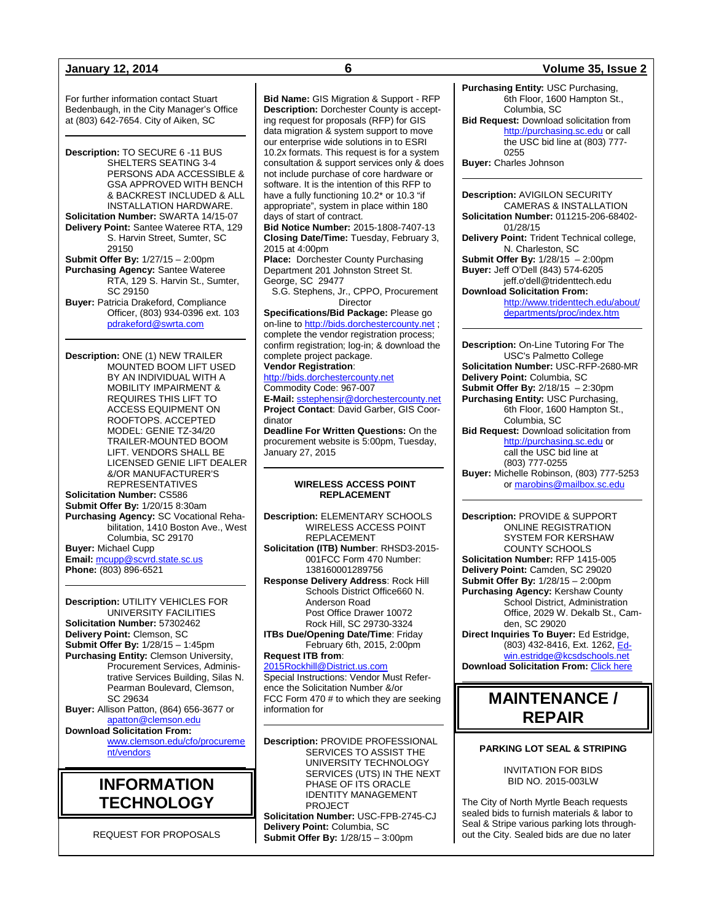For further information contact Stuart Bedenbaugh, in the City Manager's Office at (803) 642-7654. City of Aiken, SC

**Description:** TO SECURE 6 -11 BUS SHELTERS SEATING 3-4 PERSONS ADA ACCESSIBLE & GSA APPROVED WITH BENCH & BACKREST INCLUDED & ALL INSTALLATION HARDWARE. **Solicitation Number:** SWARTA 14/15-07 **Delivery Point:** Santee Wateree RTA, 129 S. Harvin Street, Sumter, SC 29150 **Submit Offer By:** 1/27/15 – 2:00pm **Purchasing Agency:** Santee Wateree RTA, 129 S. Harvin St., Sumter, SC 29150 **Buyer:** Patricia Drakeford, Compliance Officer, (803) 934-0396 ext. 103 [pdrakeford@swrta.com](mailto:pdrakeford@swrta.com)

**Description:** ONE (1) NEW TRAILER MOUNTED BOOM LIFT USED BY AN INDIVIDUAL WITH A MOBILITY IMPAIRMENT & REQUIRES THIS LIFT TO ACCESS EQUIPMENT ON ROOFTOPS. ACCEPTED

TRAILER-MOUNTED BOOM LIFT. VENDORS SHALL BE LICENSED GENIE LIFT DEALER &/OR MANUFACTURER'S REPRESENTATIVES **Solicitation Number:** CS586 **Submit Offer By:** 1/20/15 8:30am **Purchasing Agency:** SC Vocational Rehabilitation, 1410 Boston Ave., West Columbia, SC 29170 **Buyer:** Michael Cupp **Email:** [mcupp@scvrd.state.sc.us](mailto:mcupp@scvrd.state.sc.us)

MODEL: GENIE TZ-34/20

**Phone:** (803) 896-6521

**Description:** UTILITY VEHICLES FOR UNIVERSITY FACILITIES **Solicitation Number:** 57302462 **Delivery Point:** Clemson, SC **Submit Offer By:** 1/28/15 – 1:45pm **Purchasing Entity:** Clemson University, Procurement Services, Administrative Services Building, Silas N. Pearman Boulevard, Clemson, SC 29634 **Buyer:** Allison Patton, (864) 656-3677 or [apatton@clemson.edu](mailto:apatton@clemson.edu) **Download Solicitation From:**  [www.clemson.edu/cfo/procureme](http://www.clemson.edu/cfo/procurement/vendors) [nt/vendors](http://www.clemson.edu/cfo/procurement/vendors)

## **INFORMATION TECHNOLOGY**

REQUEST FOR PROPOSALS

**Bid Name:** GIS Migration & Support - RFP **Description:** Dorchester County is accepting request for proposals (RFP) for GIS data migration & system support to move our enterprise wide solutions in to ESRI 10.2x formats. This request is for a system consultation & support services only & does not include purchase of core hardware or software. It is the intention of this RFP to have a fully functioning 10.2\* or 10.3 "if appropriate", system in place within 180 days of start of contract.

**Bid Notice Number:** 2015-1808-7407-13 **Closing Date/Time:** Tuesday, February 3, 2015 at 4:00pm

**Place:** Dorchester County Purchasing Department 201 Johnston Street St. George, SC 29477

S.G. Stephens, Jr., CPPO, Procurement **Director** 

**Specifications/Bid Package:** Please go on-line t[o http://bids.dorchestercounty.net](http://bids.dorchestercounty.net/); complete the vendor registration process; confirm registration; log-in; & download the complete project package. **Vendor Registration**:

[http://bids.dorchestercounty.net](http://bids.dorchestercounty.net/) Commodity Code: 967-007 **E-Mail:** [sstephensjr@dorchestercounty.net](mailto:sstephensjr@dorchestercounty.net) **Project Contact**: David Garber, GIS Coordinator

**Deadline For Written Questions:** On the procurement website is 5:00pm, Tuesday, January 27, 2015

### **WIRELESS ACCESS POINT REPLACEMENT**

**Description:** ELEMENTARY SCHOOLS WIRELESS ACCESS POINT REPLACEMENT

**Solicitation (ITB) Number**: RHSD3-2015- 001FCC Form 470 Number: 138160001289756

**Response Delivery Address**: Rock Hill Schools District Office660 N. Anderson Road Post Office Drawer 10072 Rock Hill, SC 29730-3324

**ITBs Due/Opening Date/Time**: Friday February 6th, 2015, 2:00pm

### **Request ITB from**:

[2015Rockhill@District.us.com](mailto:2015Rockhill@District.us.com) Special Instructions: Vendor Must Reference the Solicitation Number &/or FCC Form 470 # to which they are seeking information for

**Description:** PROVIDE PROFESSIONAL SERVICES TO ASSIST THE UNIVERSITY TECHNOLOGY SERVICES (UTS) IN THE NEXT PHASE OF ITS ORACLE IDENTITY MANAGEMENT PROJECT

**Solicitation Number:** USC-FPB-2745-CJ **Delivery Point:** Columbia, SC **Submit Offer By:** 1/28/15 – 3:00pm

### **January 12, 2014 6 Volume 35, Issue 2**

**Purchasing Entity:** USC Purchasing, 6th Floor, 1600 Hampton St., Columbia, SC **Bid Request:** Download solicitation from

[http://purchasing.sc.edu](http://purchasing.sc.edu/) or call the USC bid line at (803) 777- 0255

**Buyer:** Charles Johnson

**Description:** AVIGILON SECURITY CAMERAS & INSTALLATION **Solicitation Number:** 011215-206-68402- 01/28/15 **Delivery Point:** Trident Technical college, N. Charleston, SC **Submit Offer By:** 1/28/15 – 2:00pm **Buyer:** Jeff O'Dell (843) 574-6205 jeff.o'dell@tridenttech.edu **Download Solicitation From:** [http://www.tridenttech.edu/about/](http://www.tridenttech.edu/about/departments/proc/index.htm) [departments/proc/index.htm](http://www.tridenttech.edu/about/departments/proc/index.htm) 

**Description:** On-Line Tutoring For The USC's Palmetto College **Solicitation Number:** USC-RFP-2680-MR **Delivery Point:** Columbia, SC **Submit Offer By:** 2/18/15 – 2:30pm **Purchasing Entity:** USC Purchasing, 6th Floor, 1600 Hampton St., Columbia, SC **Bid Request:** Download solicitation from [http://purchasing.sc.edu](http://purchasing.sc.edu/) or call the USC bid line at (803) 777-0255 **Buyer:** Michelle Robinson, (803) 777-5253 or [marobins@mailbox.sc.edu](mailto:marobins@mailbox.sc.edu)

**Description:** PROVIDE & SUPPORT ONLINE REGISTRATION SYSTEM FOR KERSHAW COUNTY SCHOOLS **Solicitation Number:** RFP 1415-005 **Delivery Point:** Camden, SC 29020 **Submit Offer By:** 1/28/15 – 2:00pm **Purchasing Agency:** Kershaw County School District, Administration Office, 2029 W. Dekalb St., Camden, SC 29020 **Direct Inquiries To Buyer:** Ed Estridge, (803) 432-8416, Ext. 1262[, Ed](mailto:Edwin.estridge@kcsdschools.net)[win.estridge@kcsdschools.net](mailto:Edwin.estridge@kcsdschools.net)

**Download Solicitation From: [Click here](http://www.kcsdschools.com/group_profile_view.aspx?id=b38ba7d7-4842-4655-bd34-00f92ccafa72)** 

## **MAINTENANCE / REPAIR**

### **PARKING LOT SEAL & STRIPING**

INVITATION FOR BIDS BID NO. 2015-003LW

The City of North Myrtle Beach requests sealed bids to furnish materials & labor to Seal & Stripe various parking lots throughout the City. Sealed bids are due no later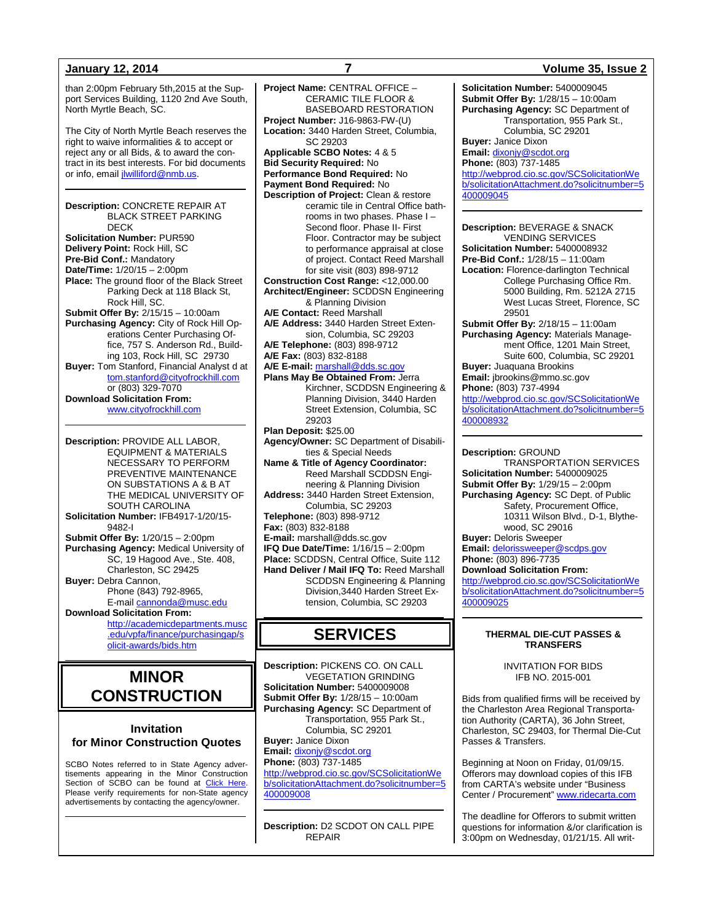than 2:00pm February 5th,2015 at the Support Services Building, 1120 2nd Ave South, North Myrtle Beach, SC.

The City of North Myrtle Beach reserves the right to waive informalities & to accept or reject any or all Bids, & to award the contract in its best interests. For bid documents or info, emai[l jlwilliford@nmb.us.](mailto:jlwilliford@nmb.us)

**Description:** CONCRETE REPAIR AT BLACK STREET PARKING DECK **Solicitation Number:** PUR590 **Delivery Point:** Rock Hill, SC **Pre-Bid Conf.:** Mandatory **Date/Time:** 1/20/15 – 2:00pm **Place:** The ground floor of the Black Street Parking Deck at 118 Black St, Rock Hill, SC. **Submit Offer By:** 2/15/15 – 10:00am **Purchasing Agency:** City of Rock Hill Operations Center Purchasing Office, 757 S. Anderson Rd., Building 103, Rock Hill, SC 29730 **Buyer:** Tom Stanford, Financial Analyst d at [tom.stanford@cityofrockhill.com](mailto:tom.stanford@cityofrockhill.com) or (803) 329-7070 **Download Solicitation From:** [www.cityofrockhill.com](http://www.cityofrockhill.com/)

**Description:** PROVIDE ALL LABOR, EQUIPMENT & MATERIALS NECESSARY TO PERFORM PREVENTIVE MAINTENANCE ON SUBSTATIONS A & B AT THE MEDICAL UNIVERSITY OF SOUTH CAROLINA **Solicitation Number:** IFB4917-1/20/15- 9482-I **Submit Offer By:** 1/20/15 – 2:00pm **Purchasing Agency:** Medical University of SC, 19 Hagood Ave., Ste. 408, Charleston, SC 29425 **Buyer:** Debra Cannon, Phone (843) 792-8965, E-mail [cannonda@musc.edu](mailto:cannonda@musc.edu) **Download Solicitation From:** [http://academicdepartments.musc](http://academicdepartments.musc.edu/vpfa/finance/purchasingap/solicit-awards/bids.htm) [.edu/vpfa/finance/purchasingap/s](http://academicdepartments.musc.edu/vpfa/finance/purchasingap/solicit-awards/bids.htm)

## **MINOR CONSTRUCTION**

[olicit-awards/bids.htm](http://academicdepartments.musc.edu/vpfa/finance/purchasingap/solicit-awards/bids.htm)

### **Invitation for Minor Construction Quotes**

SCBO Notes referred to in State Agency advertisements appearing in the Minor Construction Section of SCBO can be found at [Click Here.](http://www.mmo.sc.gov/PS/general/scbo/SCBO_Notes_060512.pdf) Please verify requirements for non-State agency advertisements by contacting the agency/owner.

**Project Name:** CENTRAL OFFICE – CERAMIC TILE FLOOR & BASEBOARD RESTORATION **Project Number:** J16-9863-FW-(U) **Location:** 3440 Harden Street, Columbia, SC 29203 **Applicable SCBO Notes:** 4 & 5 **Bid Security Required:** No **Performance Bond Required:** No **Payment Bond Required:** No **Description of Project:** Clean & restore ceramic tile in Central Office bathrooms in two phases. Phase I – Second floor. Phase II- First Floor. Contractor may be subject to performance appraisal at close of project. Contact Reed Marshall for site visit (803) 898-9712 **Construction Cost Range:** <12,000.00 **Architect/Engineer:** SCDDSN Engineering & Planning Division **A/E Contact:** Reed Marshall **A/E Address:** 3440 Harden Street Extension, Columbia, SC 29203 **A/E Telephone:** (803) 898-9712 **A/E Fax:** (803) 832-8188 **A/E E-mail:** [marshall@dds.sc.gov](mailto:marshall@dds.sc.gov) **Plans May Be Obtained From:** Jerra Kirchner, SCDDSN Engineering & Planning Division, 3440 Harden Street Extension, Columbia, SC 29203 **Plan Deposit:** \$25.00 **Agency/Owner:** SC Department of Disabilities & Special Needs **Name & Title of Agency Coordinator:** Reed Marshall SCDDSN Engineering & Planning Division **Address:** 3440 Harden Street Extension, Columbia, SC 29203 **Telephone:** (803) 898-9712 **Fax:** (803) 832-8188 **E-mail:** marshall@dds.sc.gov **IFQ Due Date/Time:** 1/16/15 – 2:00pm **Place:** SCDDSN, Central Office, Suite 112 **Hand Deliver / Mail IFQ To:** Reed Marshall SCDDSN Engineering & Planning Division,3440 Harden Street Extension, Columbia, SC 29203

## **SERVICES**

**Description:** PICKENS CO. ON CALL VEGETATION GRINDING **Solicitation Number:** 5400009008 **Submit Offer By:** 1/28/15 – 10:00am **Purchasing Agency:** SC Department of Transportation, 955 Park St., Columbia, SC 29201 **Buyer:** Janice Dixon **Email:** [dixonjy@scdot.org](mailto:dixonjy@scdot.org) **Phone:** (803) 737-1485 [http://webprod.cio.sc.gov/SCSolicitationWe](http://webprod.cio.sc.gov/SCSolicitationWeb/solicitationAttachment.do?solicitnumber=5400009008) [b/solicitationAttachment.do?solicitnumber=5](http://webprod.cio.sc.gov/SCSolicitationWeb/solicitationAttachment.do?solicitnumber=5400009008) [400009008](http://webprod.cio.sc.gov/SCSolicitationWeb/solicitationAttachment.do?solicitnumber=5400009008)

**Description:** D2 SCDOT ON CALL PIPE REPAIR

### **January 12, 2014 7 Volume 35, Issue 2**

**Solicitation Number:** 5400009045 **Submit Offer By:** 1/28/15 – 10:00am **Purchasing Agency:** SC Department of Transportation, 955 Park St., Columbia, SC 29201 **Buyer:** Janice Dixon **Email:** [dixonjy@scdot.org](mailto:dixonjy@scdot.org) **Phone:** (803) 737-1485 [http://webprod.cio.sc.gov/SCSolicitationWe](http://webprod.cio.sc.gov/SCSolicitationWeb/solicitationAttachment.do?solicitnumber=5400009045) [b/solicitationAttachment.do?solicitnumber=5](http://webprod.cio.sc.gov/SCSolicitationWeb/solicitationAttachment.do?solicitnumber=5400009045) [400009045](http://webprod.cio.sc.gov/SCSolicitationWeb/solicitationAttachment.do?solicitnumber=5400009045)

**Description:** BEVERAGE & SNACK VENDING SERVICES **Solicitation Number:** 5400008932 **Pre-Bid Conf.:** 1/28/15 – 11:00am **Location:** Florence-darlington Technical College Purchasing Office Rm. 5000 Building, Rm. 5212A 2715 West Lucas Street, Florence, SC 29501 **Submit Offer By:** 2/18/15 – 11:00am

**Purchasing Agency:** Materials Management Office, 1201 Main Street, Suite 600, Columbia, SC 29201 **Buyer:** Juaquana Brookins

**Email:** jbrookins@mmo.sc.gov **Phone:** (803) 737-4994

[http://webprod.cio.sc.gov/SCSolicitationWe](http://webprod.cio.sc.gov/SCSolicitationWeb/solicitationAttachment.do?solicitnumber=5400008932) [b/solicitationAttachment.do?solicitnumber=5](http://webprod.cio.sc.gov/SCSolicitationWeb/solicitationAttachment.do?solicitnumber=5400008932) [400008932](http://webprod.cio.sc.gov/SCSolicitationWeb/solicitationAttachment.do?solicitnumber=5400008932)

**Description:** GROUND

TRANSPORTATION SERVICES **Solicitation Number:** 5400009025 **Submit Offer By:** 1/29/15 – 2:00pm **Purchasing Agency:** SC Dept. of Public Safety, Procurement Office, 10311 Wilson Blvd., D-1, Blythewood, SC 29016 **Buyer:** Deloris Sweeper

**Email:** [delorissweeper@scdps.gov](mailto:delorissweeper@scdps.gov) **Phone:** (803) 896-7735

**Download Solicitation From:**

[http://webprod.cio.sc.gov/SCSolicitationWe](http://webprod.cio.sc.gov/SCSolicitationWeb/solicitationAttachment.do?solicitnumber=5400009025) [b/solicitationAttachment.do?solicitnumber=5](http://webprod.cio.sc.gov/SCSolicitationWeb/solicitationAttachment.do?solicitnumber=5400009025) [400009025](http://webprod.cio.sc.gov/SCSolicitationWeb/solicitationAttachment.do?solicitnumber=5400009025)

### **THERMAL DIE-CUT PASSES & TRANSFERS**

INVITATION FOR BIDS IFB NO. 2015-001

Bids from qualified firms will be received by the Charleston Area Regional Transportation Authority (CARTA), 36 John Street, Charleston, SC 29403, for Thermal Die-Cut Passes & Transfers.

Beginning at Noon on Friday, 01/09/15. Offerors may download copies of this IFB from CARTA's website under "Business Center / Procurement[" www.ridecarta.com](http://www.ridecarta.com/)

The deadline for Offerors to submit written questions for information &/or clarification is 3:00pm on Wednesday, 01/21/15. All writ-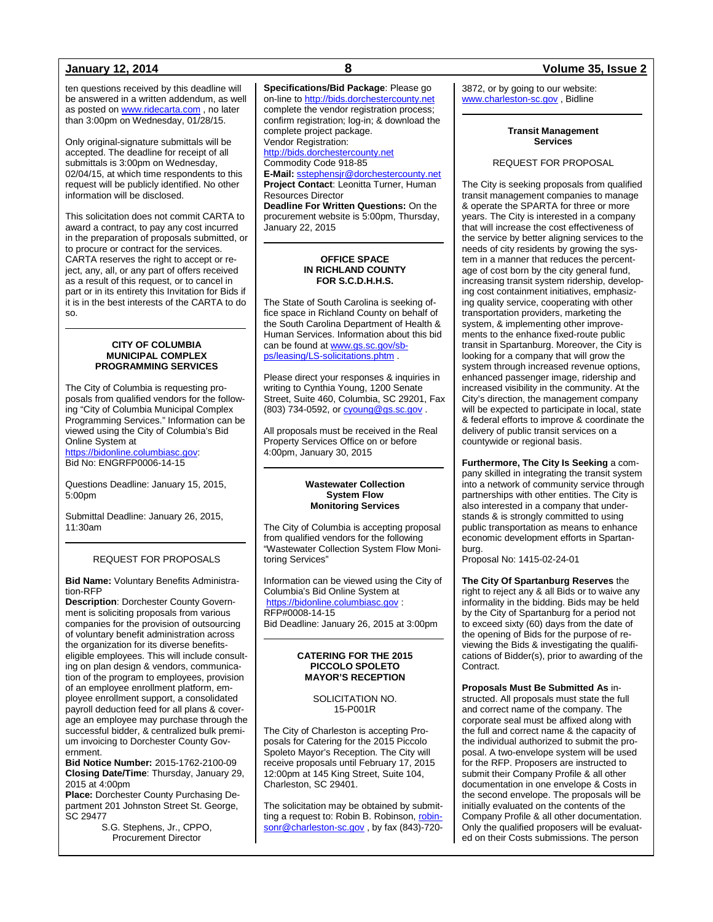ten questions received by this deadline will be answered in a written addendum, as well as posted o[n www.ridecarta.com](http://www.ridecarta.com/), no later than 3:00pm on Wednesday, 01/28/15.

Only original-signature submittals will be accepted. The deadline for receipt of all submittals is 3:00pm on Wednesday, 02/04/15, at which time respondents to this request will be publicly identified. No other information will be disclosed.

This solicitation does not commit CARTA to award a contract, to pay any cost incurred in the preparation of proposals submitted, or to procure or contract for the services. CARTA reserves the right to accept or reject, any, all, or any part of offers received as a result of this request, or to cancel in part or in its entirety this Invitation for Bids if it is in the best interests of the CARTA to do so.

### **CITY OF COLUMBIA MUNICIPAL COMPLEX PROGRAMMING SERVICES**

The City of Columbia is requesting proposals from qualified vendors for the following "City of Columbia Municipal Complex Programming Services." Information can be viewed using the City of Columbia's Bid Online System at

[https://bidonline.columbiasc.gov:](https://bidonline.columbiasc.gov/) Bid No: ENGRFP0006-14-15

Questions Deadline: January 15, 2015, 5:00pm

Submittal Deadline: January 26, 2015, 11:30am

### REQUEST FOR PROPOSALS

**Bid Name:** Voluntary Benefits Administration-RFP

**Description**: Dorchester County Government is soliciting proposals from various companies for the provision of outsourcing of voluntary benefit administration across the organization for its diverse benefitseligible employees. This will include consulting on plan design & vendors, communication of the program to employees, provision of an employee enrollment platform, employee enrollment support, a consolidated payroll deduction feed for all plans & coverage an employee may purchase through the successful bidder, & centralized bulk premium invoicing to Dorchester County Government.

**Bid Notice Number:** 2015-1762-2100-09 **Closing Date/Time**: Thursday, January 29, 2015 at 4:00pm

**Place:** Dorchester County Purchasing Department 201 Johnston Street St. George, SC 29477

S.G. Stephens, Jr., CPPO, Procurement Director

**Specifications/Bid Package**: Please go on-line t[o http://bids.dorchestercounty.net](http://bids.dorchestercounty.net/) complete the vendor registration process; confirm registration; log-in; & download the complete project package. Vendor Registration: [http://bids.dorchestercounty.net](http://bids.dorchestercounty.net/) Commodity Code 918-85 **E-Mail:** [sstephensjr@dorchestercounty.net](mailto:sstephensjr@dorchestercounty.net) **Project Contact**: Leonitta Turner, Human Resources Director **Deadline For Written Questions:** On the procurement website is 5:00pm, Thursday, January 22, 2015

### **OFFICE SPACE IN RICHLAND COUNTY FOR S.C.D.H.H.S.**

The State of South Carolina is seeking office space in Richland County on behalf of the South Carolina Department of Health & Human Services. Information about this bid can be found at [www.gs.sc.gov/sb](http://www.gs.sc.gov/sb-ps/leasing/LS-solicitations.phtm)[ps/leasing/LS-solicitations.phtm](http://www.gs.sc.gov/sb-ps/leasing/LS-solicitations.phtm) .

Please direct your responses & inquiries in writing to Cynthia Young, 1200 Senate Street, Suite 460, Columbia, SC 29201, Fax (803) 734-0592, or **cyoung@gs.sc.gov**.

All proposals must be received in the Real Property Services Office on or before 4:00pm, January 30, 2015

### **Wastewater Collection System Flow Monitoring Services**

The City of Columbia is accepting proposal from qualified vendors for the following "Wastewater Collection System Flow Monitoring Services"

Information can be viewed using the City of Columbia's Bid Online System at [https://bidonline.columbiasc.gov](https://bidonline.columbiasc.gov/) : RFP#0008-14-15 Bid Deadline: January 26, 2015 at 3:00pm

### **CATERING FOR THE 2015 PICCOLO SPOLETO MAYOR'S RECEPTION**

### SOLICITATION NO. 15-P001R

The City of Charleston is accepting Proposals for Catering for the 2015 Piccolo Spoleto Mayor's Reception. The City will receive proposals until February 17, 2015 12:00pm at 145 King Street, Suite 104, Charleston, SC 29401.

The solicitation may be obtained by submitting a request to: Robin B. Robinson[, robin](mailto:robinsonr@charleston-sc.gov)[sonr@charleston-sc.gov](mailto:robinsonr@charleston-sc.gov), by fax (843)-720-

### **January 12, 2014 8 Volume 35, Issue 2**

3872, or by going to our website: [www.charleston-sc.gov](http://www.charleston-sc.gov/) , Bidline

### **Transit Management Services**

### REQUEST FOR PROPOSAL

The City is seeking proposals from qualified transit management companies to manage & operate the SPARTA for three or more years. The City is interested in a company that will increase the cost effectiveness of the service by better aligning services to the needs of city residents by growing the system in a manner that reduces the percentage of cost born by the city general fund, increasing transit system ridership, developing cost containment initiatives, emphasizing quality service, cooperating with other transportation providers, marketing the system, & implementing other improvements to the enhance fixed-route public transit in Spartanburg. Moreover, the City is looking for a company that will grow the system through increased revenue options, enhanced passenger image, ridership and increased visibility in the community. At the City's direction, the management company will be expected to participate in local, state & federal efforts to improve & coordinate the delivery of public transit services on a countywide or regional basis.

**Furthermore, The City Is Seeking** a company skilled in integrating the transit system into a network of community service through partnerships with other entities. The City is also interested in a company that understands & is strongly committed to using public transportation as means to enhance economic development efforts in Spartanburg.

Proposal No: 1415-02-24-01

**The City Of Spartanburg Reserves** the right to reject any & all Bids or to waive any informality in the bidding. Bids may be held by the City of Spartanburg for a period not to exceed sixty (60) days from the date of the opening of Bids for the purpose of reviewing the Bids & investigating the qualifications of Bidder(s), prior to awarding of the Contract.

**Proposals Must Be Submitted As** instructed. All proposals must state the full and correct name of the company. The corporate seal must be affixed along with the full and correct name & the capacity of the individual authorized to submit the proposal. A two-envelope system will be used for the RFP. Proposers are instructed to submit their Company Profile & all other documentation in one envelope & Costs in the second envelope. The proposals will be initially evaluated on the contents of the Company Profile & all other documentation. Only the qualified proposers will be evaluated on their Costs submissions. The person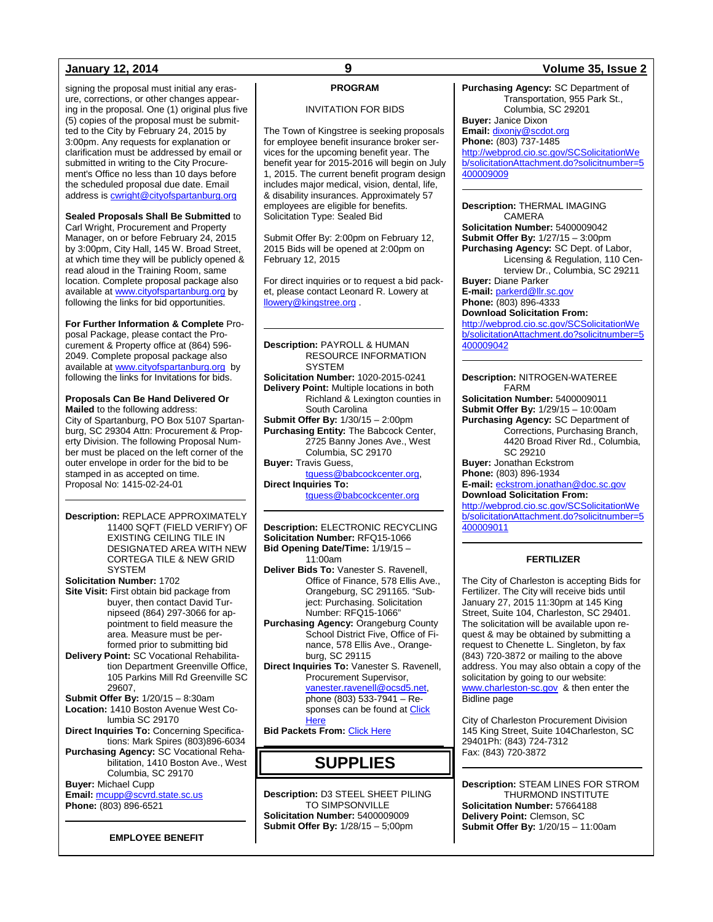signing the proposal must initial any erasure, corrections, or other changes appearing in the proposal. One (1) original plus five (5) copies of the proposal must be submitted to the City by February 24, 2015 by 3:00pm. Any requests for explanation or clarification must be addressed by email or submitted in writing to the City Procurement's Office no less than 10 days before the scheduled proposal due date. Email address is [cwright@cityofspartanburg.org](mailto:cwright@cityofspartanburg.org)

**Sealed Proposals Shall Be Submitted** to Carl Wright, Procurement and Property Manager, on or before February 24, 2015 by 3:00pm, City Hall, 145 W. Broad Street, at which time they will be publicly opened & read aloud in the Training Room, same location. Complete proposal package also available at [www.cityofspartanburg.org](http://www.cityofspartanburg.org/) by following the links for bid opportunities.

**For Further Information & Complete** Proposal Package, please contact the Procurement & Property office at (864) 596-2049. Complete proposal package also available at [www.cityofspartanburg.org](http://www.cityofspartanburg.org/) by following the links for Invitations for bids.

**Proposals Can Be Hand Delivered Or Mailed** to the following address: City of Spartanburg, PO Box 5107 Spartanburg, SC 29304 Attn: Procurement & Property Division. The following Proposal Number must be placed on the left corner of the outer envelope in order for the bid to be stamped in as accepted on time. Proposal No: 1415-02-24-01

**Description:** REPLACE APPROXIMATELY 11400 SQFT (FIELD VERIFY) OF EXISTING CEILING TILE IN DESIGNATED AREA WITH NEW CORTEGA TILE & NEW GRID **SYSTEM Solicitation Number:** 1702 **Site Visit:** First obtain bid package from buyer, then contact David Turnipseed (864) 297-3066 for appointment to field measure the area. Measure must be performed prior to submitting bid **Delivery Point:** SC Vocational Rehabilitation Department Greenville Office, 105 Parkins Mill Rd Greenville SC 29607, **Submit Offer By:** 1/20/15 – 8:30am **Location:** 1410 Boston Avenue West Columbia SC 29170 **Direct Inquiries To:** Concerning Specifications: Mark Spires (803)896-6034 **Purchasing Agency:** SC Vocational Rehabilitation, 1410 Boston Ave., West

Columbia, SC 29170 **Buyer:** Michael Cupp **Email:** [mcupp@scvrd.state.sc.us](mailto:mcupp@scvrd.state.sc.us) **Phone:** (803) 896-6521

**EMPLOYEE BENEFIT**

### **PROGRAM**

### INVITATION FOR BIDS

The Town of Kingstree is seeking proposals for employee benefit insurance broker services for the upcoming benefit year. The benefit year for 2015-2016 will begin on July 1, 2015. The current benefit program design includes major medical, vision, dental, life, & disability insurances. Approximately 57 employees are eligible for benefits. Solicitation Type: Sealed Bid

Submit Offer By: 2:00pm on February 12, 2015 Bids will be opened at 2:00pm on February 12, 2015

For direct inquiries or to request a bid packet, please contact Leonard R. Lowery at [llowery@kingstree.org](mailto:llowery@kingstree.org) .

**Description:** PAYROLL & HUMAN RESOURCE INFORMATION **SYSTEM Solicitation Number:** 1020-2015-0241 **Delivery Point:** Multiple locations in both Richland & Lexington counties in South Carolina **Submit Offer By:** 1/30/15 – 2:00pm **Purchasing Entity:** The Babcock Center, 2725 Banny Jones Ave., West Columbia, SC 29170 **Buyer:** Travis Guess, [tguess@babcockcenter.org,](mailto:tguess@babcockcenter.org) **Direct Inquiries To:**

[tguess@babcockcenter.org](mailto:tguess@babcockcenter.org)

**Description:** ELECTRONIC RECYCLING **Solicitation Number:** RFQ15-1066 **Bid Opening Date/Time:** 1/19/15 – 11:00am **Deliver Bids To:** Vanester S. Ravenell, Office of Finance, 578 Ellis Ave., Orangeburg, SC 291165. "Subject: Purchasing. Solicitation Number: RFQ15-1066" **Purchasing Agency:** Orangeburg County School District Five, Office of Finance, 578 Ellis Ave., Orangeburg, SC 29115 **Direct Inquiries To:** Vanester S. Ravenell, Procurement Supervisor, [vanester.ravenell@ocsd5.net,](mailto:vanester.ravenell@ocsd5.net) phone (803) 533-7941 – Responses can be found at Click **[Here](http://www.ocsd5schools.org/Default.asp?PN=DocumentUploads&L=2&DivisionID=15246&DepartmentID=16080&LMID=666650&ToggleSideNav=ShowAll) Bid Packets From: [Click Here](http://www.ocsd5schools.org/Default.asp?PN=DocumentUploads&L=2&DivisionID=15246&DepartmentID=16080&LMID=666650&ToggleSideNav=ShowAll)** 

## **SUPPLIES**

**Description:** D3 STEEL SHEET PILING TO SIMPSONVILLE **Solicitation Number:** 5400009009 **Submit Offer By:** 1/28/15 – 5;00pm

### **January 12, 2014 9 Volume 35, Issue 2**

**Purchasing Agency:** SC Department of Transportation, 955 Park St., Columbia, SC 29201 **Buyer:** Janice Dixon

**Email:** [dixonjy@scdot.org](mailto:dixonjy@scdot.org)

**Phone:** (803) 737-1485

[http://webprod.cio.sc.gov/SCSolicitationWe](http://webprod.cio.sc.gov/SCSolicitationWeb/solicitationAttachment.do?solicitnumber=5400009009) [b/solicitationAttachment.do?solicitnumber=5](http://webprod.cio.sc.gov/SCSolicitationWeb/solicitationAttachment.do?solicitnumber=5400009009) [400009009](http://webprod.cio.sc.gov/SCSolicitationWeb/solicitationAttachment.do?solicitnumber=5400009009)

**Description:** THERMAL IMAGING CAMERA

**Solicitation Number:** 5400009042 **Submit Offer By:** 1/27/15 – 3:00pm **Purchasing Agency:** SC Dept. of Labor, Licensing & Regulation, 110 Centerview Dr., Columbia, SC 29211 **Buyer:** Diane Parker

**E-mail:** [parkerd@llr.sc.gov](mailto:parkerd@llr.sc.gov) **Phone:** (803) 896-4333

**Download Solicitation From:**

[http://webprod.cio.sc.gov/SCSolicitationWe](http://webprod.cio.sc.gov/SCSolicitationWeb/solicitationAttachment.do?solicitnumber=5400009042) [b/solicitationAttachment.do?solicitnumber=5](http://webprod.cio.sc.gov/SCSolicitationWeb/solicitationAttachment.do?solicitnumber=5400009042) [400009042](http://webprod.cio.sc.gov/SCSolicitationWeb/solicitationAttachment.do?solicitnumber=5400009042)

**Description:** NITROGEN-WATEREE FARM **Solicitation Number:** 5400009011 **Submit Offer By:** 1/29/15 – 10:00am **Purchasing Agency:** SC Department of Corrections, Purchasing Branch, 4420 Broad River Rd., Columbia, SC 29210 **Buyer:** Jonathan Eckstrom **Phone:** (803) 896-1934 **E-mail:** [eckstrom.jonathan@doc.sc.gov](mailto:eckstrom.jonathan@doc.sc.gov) **Download Solicitation From:**

[http://webprod.cio.sc.gov/SCSolicitationWe](http://webprod.cio.sc.gov/SCSolicitationWeb/solicitationAttachment.do?solicitnumber=5400009011) [b/solicitationAttachment.do?solicitnumber=5](http://webprod.cio.sc.gov/SCSolicitationWeb/solicitationAttachment.do?solicitnumber=5400009011) [400009011](http://webprod.cio.sc.gov/SCSolicitationWeb/solicitationAttachment.do?solicitnumber=5400009011)

### **FERTILIZER**

The City of Charleston is accepting Bids for Fertilizer. The City will receive bids until January 27, 2015 11:30pm at 145 King Street, Suite 104, Charleston, SC 29401. The solicitation will be available upon request & may be obtained by submitting a request to Chenette L. Singleton, by fax (843) 720-3872 or mailing to the above address. You may also obtain a copy of the solicitation by going to our website: [www.charleston-sc.gov](http://www.charleston-sc.gov/) & then enter the Bidline page

City of Charleston Procurement Division 145 King Street, Suite 104Charleston, SC 29401Ph: (843) 724-7312 Fax: (843) 720-3872

**Description:** STEAM LINES FOR STROM THURMOND INSTITUTE **Solicitation Number:** 57664188 **Delivery Point:** Clemson, SC **Submit Offer By:** 1/20/15 – 11:00am